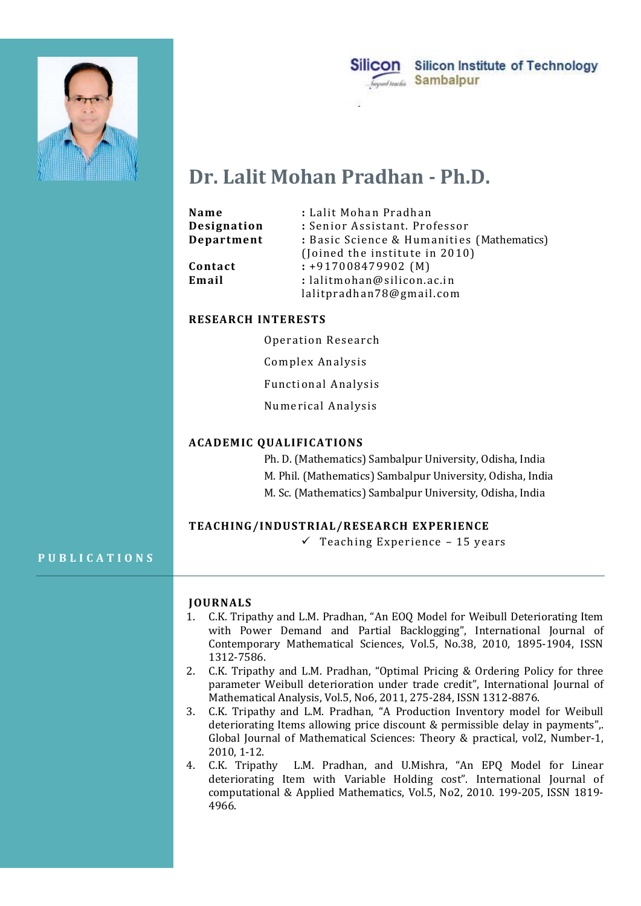



# Dr. Lalit Mohan Pradhan - Ph.D.

| Name<br>Designation<br>Department | : Lalit Mohan Pradhan<br>: Senior Assistant. Professor<br>: Basic Science & Humanities (Mathematics)              |
|-----------------------------------|-------------------------------------------------------------------------------------------------------------------|
| Contact<br>Email                  | (Joined the institute in 2010)<br>$: +917008479902$ (M)<br>: lalitmohan@silicon.ac.in<br>lalitpradhan78@gmail.com |

# RESEARCH INTERESTS

Operation Research

Complex Analysis

Functional Analysis

Numerical Analysis

# ACADEMIC QUALIFICATIONS

 Ph. D. (Mathematics) Sambalpur University, Odisha, India M. Phil. (Mathematics) Sambalpur University, Odisha, India M. Sc. (Mathematics) Sambalpur University, Odisha, India Email<br>
: alittpradhan 78@gmail.com<br>
RESEARCH INTERESTS<br>
Operation Research<br>
Complex Analysis<br>
Functional Analysis<br>
Punctional Analysis<br>
Numerical Analysis<br>
ACADEMIC QUALIFICATIONS<br>
Ph. D. (Mathematics) Sambalpur University

# TEACHING/INDUSTRIAL/RESEARCH EXPERIENCE

 $\checkmark$  Teaching Experience - 15 years

### JOURNALS

- 1. C.K. Tripathy and L.M. Pradhan, "An EOQ Model for Weibull Deteriorating Item with Power Demand and Partial Backlogging", International Journal of Contemporary Mathematical Sciences, Vol.5, No.38, 2010, 1895-1904, ISSN 1312-7586.
- 2. C.K. Tripathy and L.M. Pradhan, "Optimal Pricing & Ordering Policy for three parameter Weibull deterioration under trade credit", International Journal of Mathematical Analysis, Vol.5, No6, 2011, 275-284, ISSN 1312-8876.
- 3. C.K. Tripathy and L.M. Pradhan, "A Production Inventory model for Weibull deteriorating Items allowing price discount & permissible delay in payments",. Global Journal of Mathematical Sciences: Theory & practical, vol2, Number-1, 2010, 1-12.
- 4. C.K. Tripathy L.M. Pradhan, and U.Mishra, "An EPQ Model for Linear deteriorating Item with Variable Holding cost". International Journal of computational & Applied Mathematics, Vol.5, No2, 2010. 199-205, ISSN 1819- 4966.